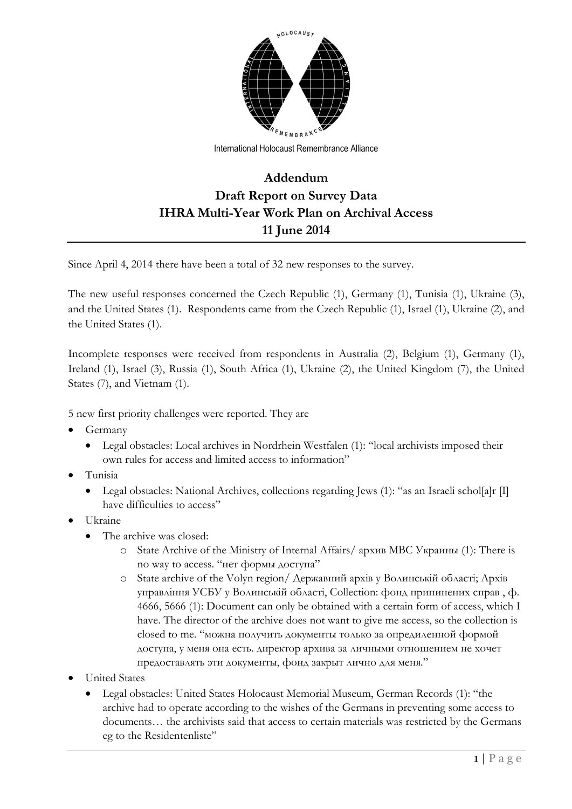

International Holocaust Remembrance Alliance

## **Addendum Draft Report on Survey Data IHRA Multi-Year Work Plan on Archival Access 11 June 2014**

Since April 4, 2014 there have been a total of 32 new responses to the survey.

The new useful responses concerned the Czech Republic (1), Germany (1), Tunisia (1), Ukraine (3), and the United States (1). Respondents came from the Czech Republic (1), Israel (1), Ukraine (2), and the United States (1).

Incomplete responses were received from respondents in Australia (2), Belgium (1), Germany (1), Ireland (1), Israel (3), Russia (1), South Africa (1), Ukraine (2), the United Kingdom (7), the United States (7), and Vietnam (1).

5 new first priority challenges were reported. They are

- Germany
	- Legal obstacles: Local archives in Nordrhein Westfalen (1): "local archivists imposed their own rules for access and limited access to information"
- Tunisia
	- Legal obstacles: National Archives, collections regarding Jews (1): "as an Israeli schol[a]r [I] have difficulties to access"
- Ukraine
	- The archive was closed:
		- o State Archive of the Ministry of Internal Affairs/ архив МВС Украины (1): There is no way to access. "нет формы доступа"
		- o State archive of the Volyn region/ Державний архів у Волинській області; Архів управління УСБУ у Волинській області, Collection: фонд припинених справ , ф. 4666, 5666 (1): Document can only be obtained with a certain form of access, which I have. The director of the archive does not want to give me access, so the collection is closed to me. "можна получить документы только за опредиленной формой доступа, у меня она есть. директор архива за личными отношением не хочет предоставлять эти документы, фонд закрыт лично для меня."
- United States
	- Legal obstacles: United States Holocaust Memorial Museum, German Records (1): "the archive had to operate according to the wishes of the Germans in preventing some access to documents… the archivists said that access to certain materials was restricted by the Germans eg to the Residentenliste"